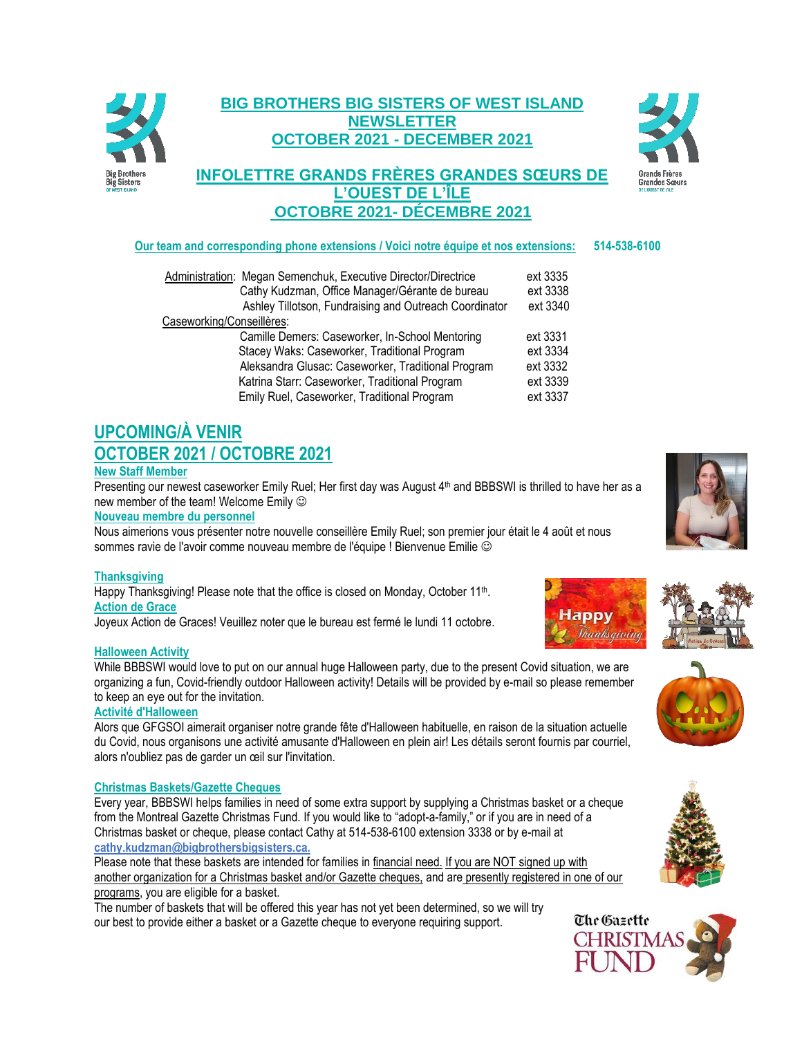

## **BIG BROTHERS BIG SISTERS OF WEST ISLAND NEWSLETTER OCTOBER 2021 - DECEMBER 2021**

## **INFOLETTRE GRANDS FRÈRES GRANDES SŒURS DE L'OUEST DE L'ÎLE OCTOBRE 2021- DÉCEMBRE 2021**



## **Our team and corresponding phone extensions / Voici notre équipe et nos extensions: 514-538-6100**

| Administration: Megan Semenchuk, Executive Director/Directrice | ext 3335 |
|----------------------------------------------------------------|----------|
| Cathy Kudzman, Office Manager/Gérante de bureau                | ext 3338 |
| Ashley Tillotson, Fundraising and Outreach Coordinator         | ext 3340 |
| Caseworking/Conseillères:                                      |          |
| Camille Demers: Caseworker, In-School Mentoring                | ext 3331 |
| Stacey Waks: Caseworker, Traditional Program                   | ext 3334 |
| Aleksandra Glusac: Caseworker, Traditional Program             | ext 3332 |
| Katrina Starr: Caseworker, Traditional Program                 | ext 3339 |
| Emily Ruel, Caseworker, Traditional Program                    | ext 3337 |
|                                                                |          |

# **UPCOMING/À VENIR OCTOBER 2021 / OCTOBRE 2021**

## **New Staff Member**

Presenting our newest caseworker Emily Ruel; Her first day was August 4<sup>th</sup> and BBBSWI is thrilled to have her as a new member of the team! Welcome Emily

**Nouveau membre du personnel** 

Nous aimerions vous présenter notre nouvelle conseillère Emily Ruel; son premier jour était le 4 août et nous sommes ravie de l'avoir comme nouveau membre de l'équipe ! Bienvenue Emilie  $\circledcirc$ 

## **Thanksgiving**

Happy Thanksgiving! Please note that the office is closed on Monday, October 11<sup>th</sup>. **Action de Grace**

Joyeux Action de Graces! Veuillez noter que le bureau est fermé le lundi 11 octobre.

## **Halloween Activity**

While BBBSWI would love to put on our annual huge Halloween party, due to the present Covid situation, we are organizing a fun, Covid-friendly outdoor Halloween activity! Details will be provided by e-mail so please remember to keep an eye out for the invitation.

## **Activité d'Halloween**

Alors que GFGSOI aimerait organiser notre grande fête d'Halloween habituelle, en raison de la situation actuelle du Covid, nous organisons une activité amusante d'Halloween en plein air! Les détails seront fournis par courriel, alors n'oubliez pas de garder un œil sur l'invitation.

## **Christmas Baskets/Gazette Cheques**

Every year, BBBSWI helps families in need of some extra support by supplying a Christmas basket or a cheque from the Montreal Gazette Christmas Fund. If you would like to "adopt-a-family," or if you are in need of a Christmas basket or cheque, please contact Cathy at 514-538-6100 extension 3338 or by e-mail at **cathy.kudzman@bigbrothersbigsisters.ca.**

Please note that these baskets are intended for families in financial need. If you are NOT signed up with another organization for a Christmas basket and/or Gazette cheques, and are presently registered in one of our programs, you are eligible for a basket.

The number of baskets that will be offered this year has not yet been determined, so we will try our best to provide either a basket or a Gazette cheque to everyone requiring support.











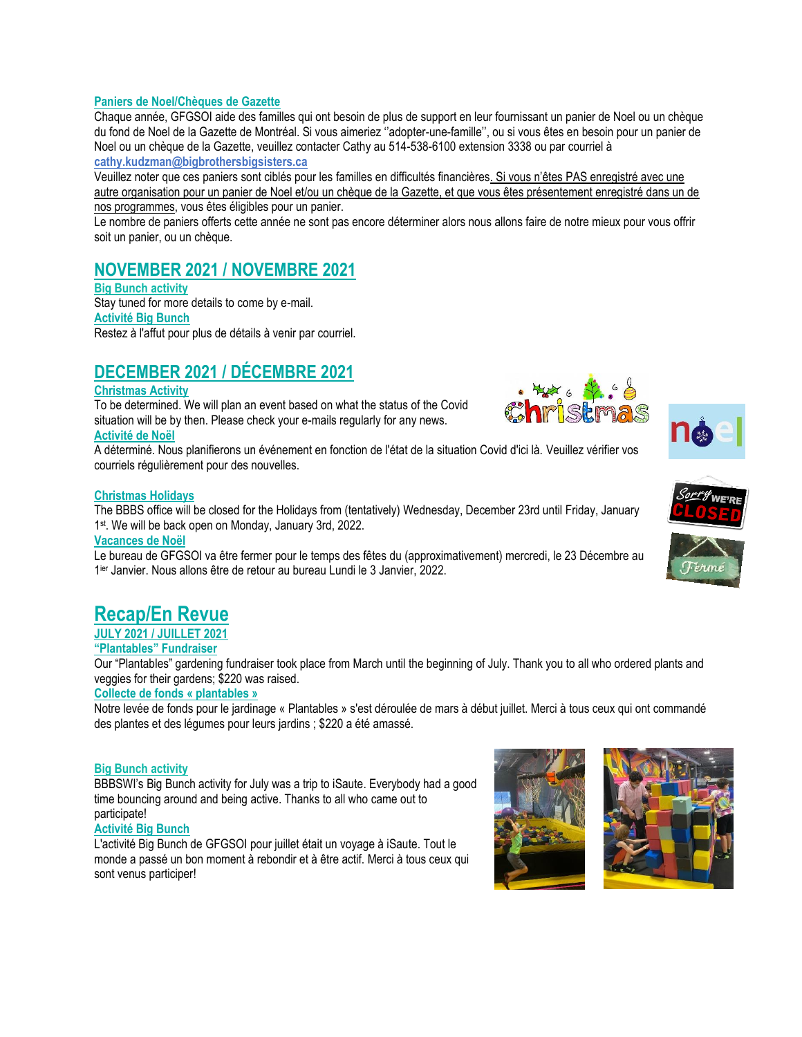## **Paniers de Noel/Chèques de Gazette**

Chaque année, GFGSOI aide des familles qui ont besoin de plus de support en leur fournissant un panier de Noel ou un chèque du fond de Noel de la Gazette de Montréal. Si vous aimeriez ''adopter-une-famille'', ou si vous êtes en besoin pour un panier de Noel ou un chèque de la Gazette, veuillez contacter Cathy au 514-538-6100 extension 3338 ou par courriel à **[cathy.kudzman@bigbrothersbigsisters.ca](mailto:cathy.kudzman@bigbrothersbigsisters.ca)**

Veuillez noter que ces paniers sont ciblés pour les familles en difficultés financières. Si vous n'êtes PAS enregistré avec une autre organisation pour un panier de Noel et/ou un chèque de la Gazette, et que vous êtes présentement enregistré dans un de nos programmes, vous êtes éligibles pour un panier.

Le nombre de paniers offerts cette année ne sont pas encore déterminer alors nous allons faire de notre mieux pour vous offrir soit un panier, ou un chèque.

## **NOVEMBER 2021 / NOVEMBRE 2021**

## **Big Bunch activity**

Stay tuned for more details to come by e-mail. **Activité Big Bunch**  Restez à l'affut pour plus de détails à venir par courriel.

# **DECEMBER 2021 / DÉCEMBRE 2021**

## **Christmas Activity**

To be determined. We will plan an event based on what the status of the Covid situation will be by then. Please check your e-mails regularly for any news. **Activité de Noël**

A déterminé. Nous planifierons un événement en fonction de l'état de la situation Covid d'ici là. Veuillez vérifier vos courriels régulièrement pour des nouvelles.

#### **Christmas Holidays**

The BBBS office will be closed for the Holidays from (tentatively) Wednesday, December 23rd until Friday, January 1 st . We will be back open on Monday, January 3rd, 2022.

#### **Vacances de Noël**

Le bureau de GFGSOI va être fermer pour le temps des fêtes du (approximativement) mercredi, le 23 Décembre au 1 ier Janvier. Nous allons être de retour au bureau Lundi le 3 Janvier, 2022.

# **Recap/En Revue**

**JULY 2021 / JUILLET 2021**

## **"Plantables" Fundraiser**

Our "Plantables" gardening fundraiser took place from March until the beginning of July. Thank you to all who ordered plants and veggies for their gardens; \$220 was raised.

### **Collecte de fonds « plantables »**

Notre levée de fonds pour le jardinage « Plantables » s'est déroulée de mars à début juillet. Merci à tous ceux qui ont commandé des plantes et des légumes pour leurs jardins ; \$220 a été amassé.

#### **Big Bunch activity**

BBBSWI's Big Bunch activity for July was a trip to iSaute. Everybody had a good time bouncing around and being active. Thanks to all who came out to participate!

#### **Activité Big Bunch**

L'activité Big Bunch de GFGSOI pour juillet était un voyage à iSaute. Tout le monde a passé un bon moment à rebondir et à être actif. Merci à tous ceux qui sont venus participer!













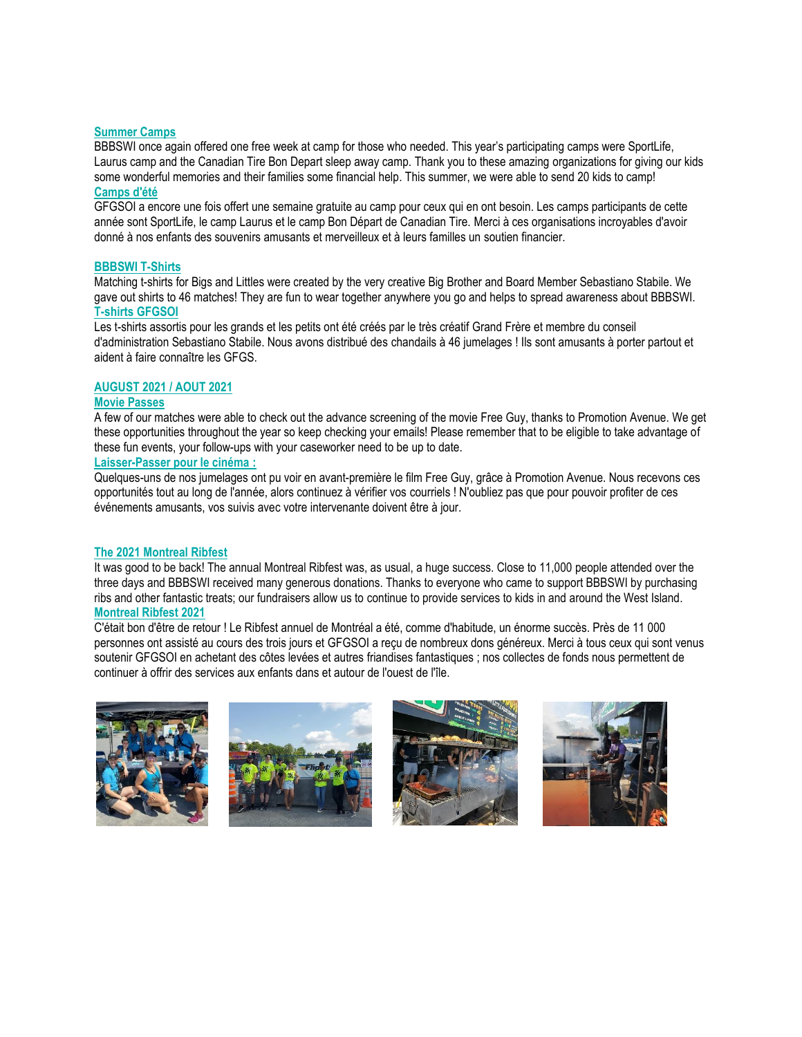#### **Summer Camps**

BBBSWI once again offered one free week at camp for those who needed. This year's participating camps were SportLife, Laurus camp and the Canadian Tire Bon Depart sleep away camp. Thank you to these amazing organizations for giving our kids some wonderful memories and their families some financial help. This summer, we were able to send 20 kids to camp! **Camps d'été**

GFGSOI a encore une fois offert une semaine gratuite au camp pour ceux qui en ont besoin. Les camps participants de cette année sont SportLife, le camp Laurus et le camp Bon Départ de Canadian Tire. Merci à ces organisations incroyables d'avoir donné à nos enfants des souvenirs amusants et merveilleux et à leurs familles un soutien financier.

#### **BBBSWI T-Shirts**

Matching t-shirts for Bigs and Littles were created by the very creative Big Brother and Board Member Sebastiano Stabile. We gave out shirts to 46 matches! They are fun to wear together anywhere you go and helps to spread awareness about BBBSWI. **T-shirts GFGSOI** 

Les t-shirts assortis pour les grands et les petits ont été créés par le très créatif Grand Frère et membre du conseil d'administration Sebastiano Stabile. Nous avons distribué des chandails à 46 jumelages ! Ils sont amusants à porter partout et aident à faire connaître les GFGS.

#### **AUGUST 2021 / AOUT 2021**

#### **Movie Passes**

A few of our matches were able to check out the advance screening of the movie Free Guy, thanks to Promotion Avenue. We get these opportunities throughout the year so keep checking your emails! Please remember that to be eligible to take advantage of these fun events, your follow-ups with your caseworker need to be up to date.

#### **Laisser-Passer pour le cinéma :**

Quelques-uns de nos jumelages ont pu voir en avant-première le film Free Guy, grâce à Promotion Avenue. Nous recevons ces opportunités tout au long de l'année, alors continuez à vérifier vos courriels ! N'oubliez pas que pour pouvoir profiter de ces événements amusants, vos suivis avec votre intervenante doivent être à jour.

#### **The 2021 Montreal Ribfest**

It was good to be back! The annual Montreal Ribfest was, as usual, a huge success. Close to 11,000 people attended over the three days and BBBSWI received many generous donations. Thanks to everyone who came to support BBBSWI by purchasing ribs and other fantastic treats; our fundraisers allow us to continue to provide services to kids in and around the West Island. **Montreal Ribfest 2021**

C'était bon d'être de retour ! Le Ribfest annuel de Montréal a été, comme d'habitude, un énorme succès. Près de 11 000 personnes ont assisté au cours des trois jours et GFGSOI a reçu de nombreux dons généreux. Merci à tous ceux qui sont venus soutenir GFGSOI en achetant des côtes levées et autres friandises fantastiques ; nos collectes de fonds nous permettent de continuer à offrir des services aux enfants dans et autour de l'ouest de l'île.

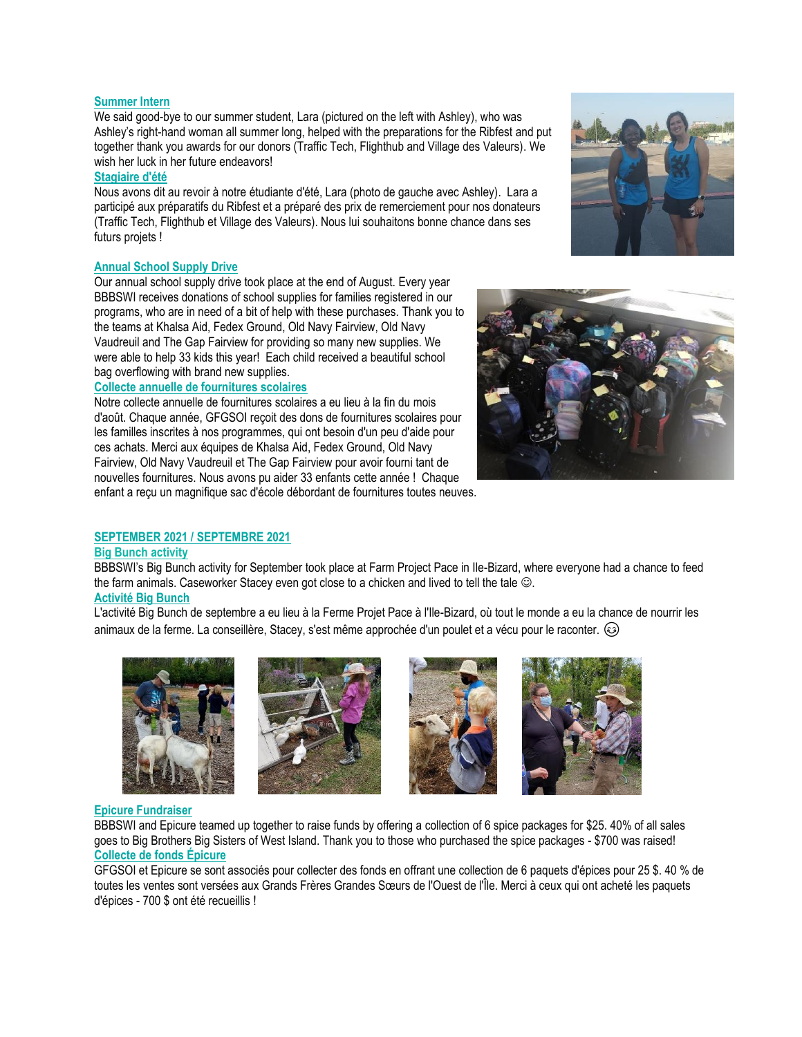#### **Summer Intern**

We said good-bye to our summer student, Lara (pictured on the left with Ashley), who was Ashley's right-hand woman all summer long, helped with the preparations for the Ribfest and put together thank you awards for our donors (Traffic Tech, Flighthub and Village des Valeurs). We wish her luck in her future endeavors!

#### **Stagiaire d'été**

Nous avons dit au revoir à notre étudiante d'été, Lara (photo de gauche avec Ashley). Lara a participé aux préparatifs du Ribfest et a préparé des prix de remerciement pour nos donateurs (Traffic Tech, Flighthub et Village des Valeurs). Nous lui souhaitons bonne chance dans ses futurs projets !

### **Annual School Supply Drive**

Our annual school supply drive took place at the end of August. Every year BBBSWI receives donations of school supplies for families registered in our programs, who are in need of a bit of help with these purchases. Thank you to the teams at Khalsa Aid, Fedex Ground, Old Navy Fairview, Old Navy Vaudreuil and The Gap Fairview for providing so many new supplies. We were able to help 33 kids this year! Each child received a beautiful school bag overflowing with brand new supplies.

#### **Collecte annuelle de fournitures scolaires**

Notre collecte annuelle de fournitures scolaires a eu lieu à la fin du mois d'août. Chaque année, GFGSOI reçoit des dons de fournitures scolaires pour les familles inscrites à nos programmes, qui ont besoin d'un peu d'aide pour ces achats. Merci aux équipes de Khalsa Aid, Fedex Ground, Old Navy Fairview, Old Navy Vaudreuil et The Gap Fairview pour avoir fourni tant de nouvelles fournitures. Nous avons pu aider 33 enfants cette année ! Chaque enfant a reçu un magnifique sac d'école débordant de fournitures toutes neuves.



## **SEPTEMBER 2021 / SEPTEMBRE 2021**

#### **Big Bunch activity**

BBBSWI's Big Bunch activity for September took place at Farm Project Pace in Ile-Bizard, where everyone had a chance to feed the farm animals. Caseworker Stacey even got close to a chicken and lived to tell the tale  $\odot$ . **Activité Big Bunch** 

L'activité Big Bunch de septembre a eu lieu à la Ferme Projet Pace à l'Ile-Bizard, où tout le monde a eu la chance de nourrir les animaux de la ferme. La conseillère, Stacey, s'est même approchée d'un poulet et a vécu pour le raconter.









#### **Epicure Fundraiser**

BBBSWI and Epicure teamed up together to raise funds by offering a collection of 6 spice packages for \$25. 40% of all sales goes to Big Brothers Big Sisters of West Island. Thank you to those who purchased the spice packages - \$700 was raised! **Collecte de fonds Épicure** 

GFGSOI et Epicure se sont associés pour collecter des fonds en offrant une collection de 6 paquets d'épices pour 25 \$. 40 % de toutes les ventes sont versées aux Grands Frères Grandes Sœurs de l'Ouest de l'Île. Merci à ceux qui ont acheté les paquets d'épices - 700 \$ ont été recueillis !